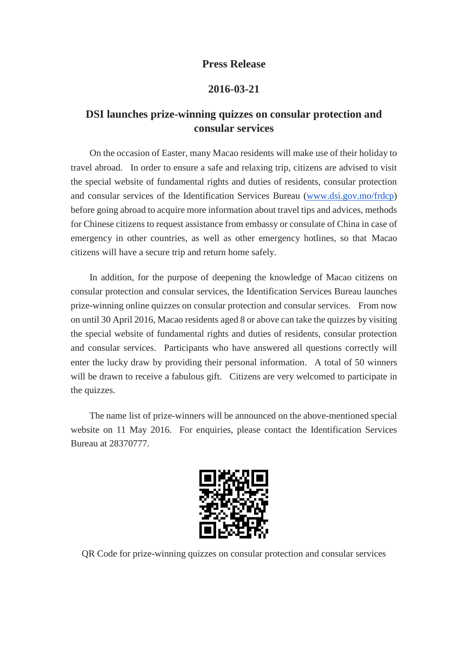## **Press Release**

## **2016-03-21**

## **DSI launches prize-winning quizzes on consular protection and consular services**

On the occasion of Easter, many Macao residents will make use of their holiday to travel abroad. In order to ensure a safe and relaxing trip, citizens are advised to visit the special website of fundamental rights and duties of residents, consular protection and consular services of the Identification Services Bureau [\(www.dsi.gov.mo/frdcp\)](http://www.dsi.gov.mo/frdcp) before going abroad to acquire more information about travel tips and advices, methods for Chinese citizens to request assistance from embassy or consulate of China in case of emergency in other countries, as well as other emergency hotlines, so that Macao citizens will have a secure trip and return home safely.

In addition, for the purpose of deepening the knowledge of Macao citizens on consular protection and consular services, the Identification Services Bureau launches prize-winning online quizzes on consular protection and consular services. From now on until 30 April 2016, Macao residents aged 8 or above can take the quizzes by visiting the special website of fundamental rights and duties of residents, consular protection and consular services. Participants who have answered all questions correctly will enter the lucky draw by providing their personal information. A total of 50 winners will be drawn to receive a fabulous gift. Citizens are very welcomed to participate in the quizzes.

The name list of prize-winners will be announced on the above-mentioned special website on 11 May 2016. For enquiries, please contact the Identification Services Bureau at 28370777.



QR Code for prize-winning quizzes on consular protection and consular services